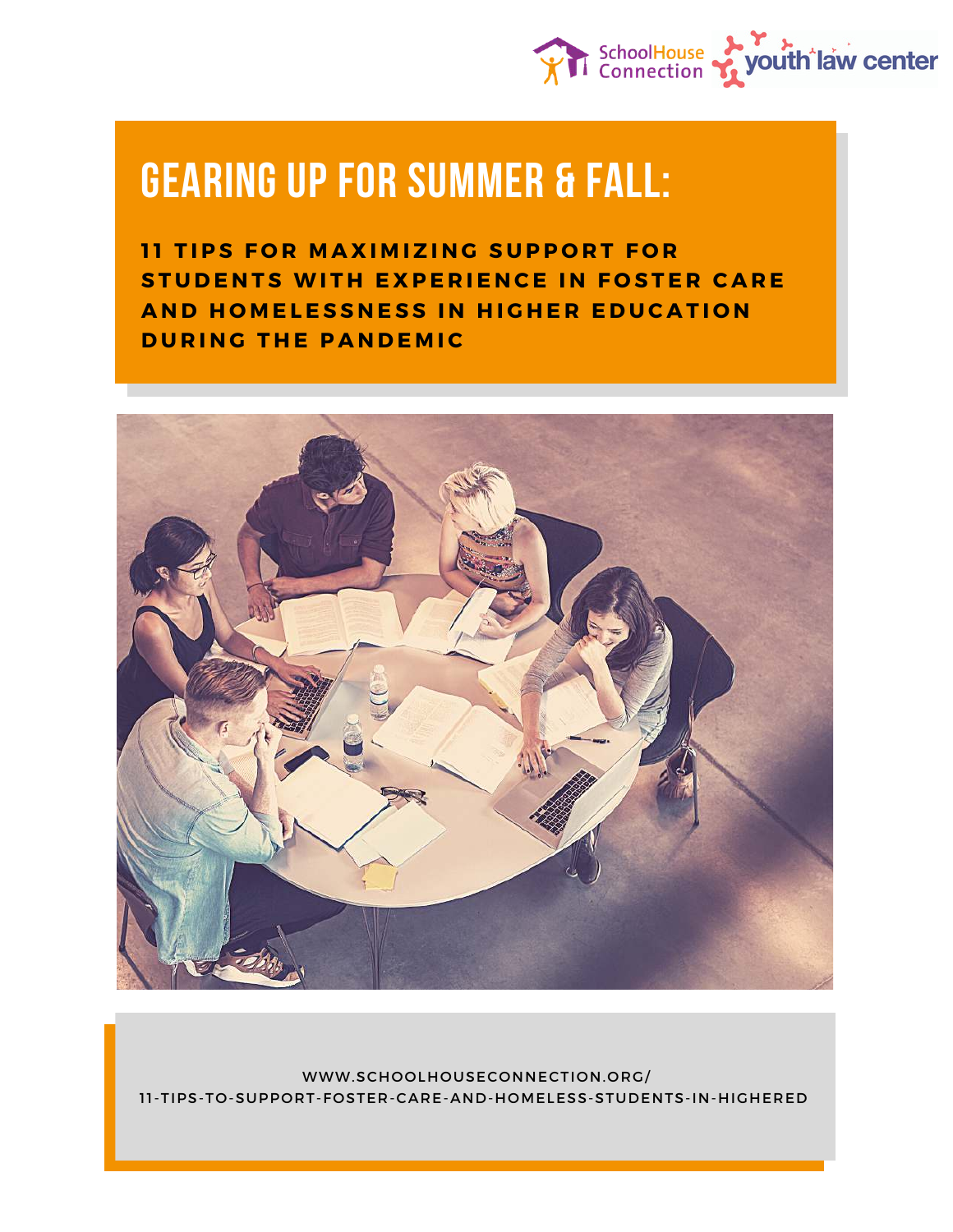

# **GEARING UP FOR SUMMER & FALL:**

**11 TIPS FOR MAXIMIZING SUPPORT FOR STUDENTS WITH EXPERIENCE IN FOSTER CARE AND HOMELESSNESS IN HIGHER EDUCATION DURING THE PANDEMIC** 



WWW.SCHOOLHOUSECONNECTION.ORG/ 11-TIPS-TO-SUPPORT-FOSTER-CARE-AND-HOMELESS-STUDENTS-IN-HIGHERED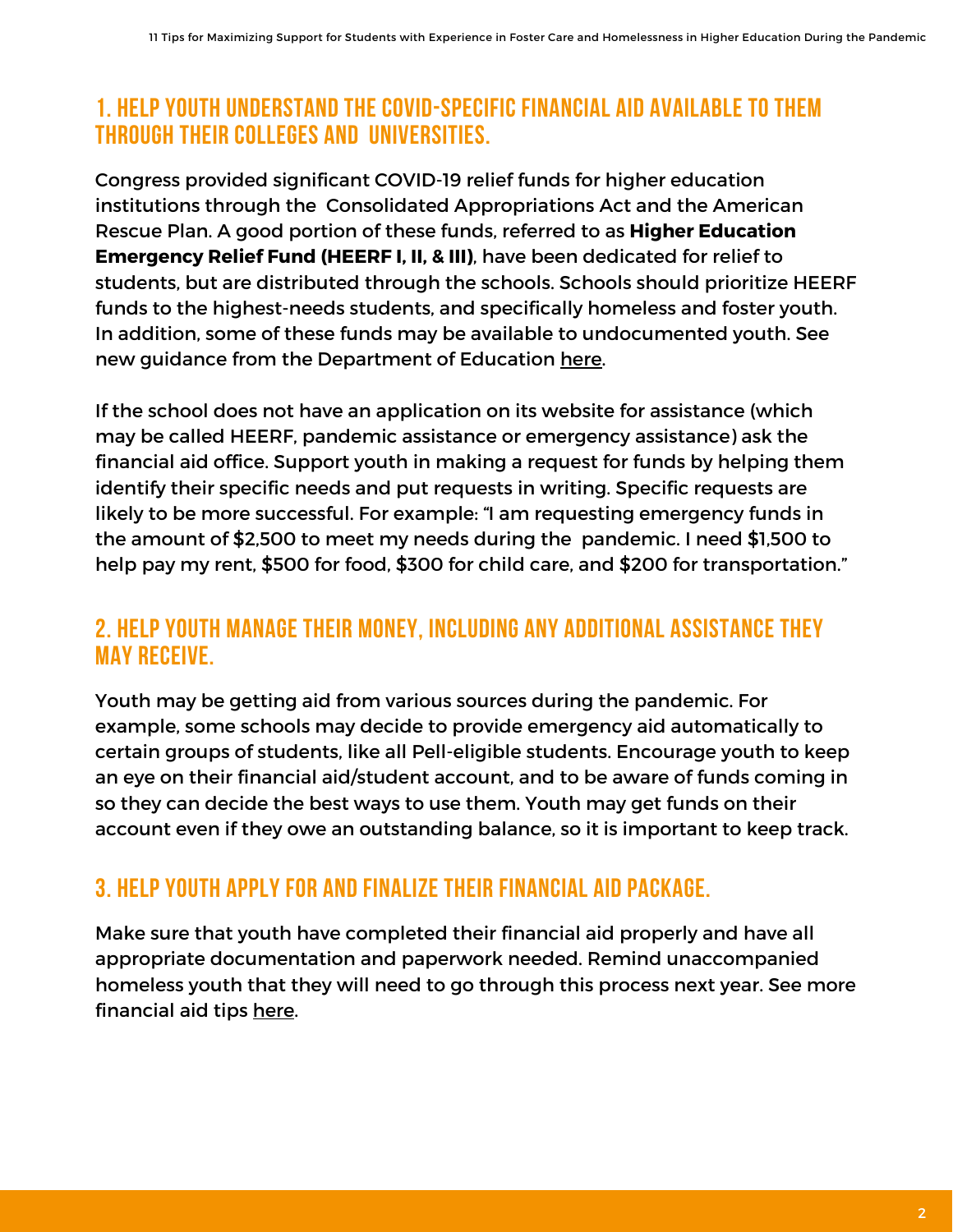#### **1. HELP YOUTH UNDERSTAND THE COVID-SPECIFIC FINANCIAL AID AVAILABLE TO THEM THROUGH THEIR COLLEGES AND UNIVERSITIES.**

Congress provided significant COVID-19 relief funds for higher education institutions through the Consolidated Appropriations Act and the American Rescue Plan. A good portion of these funds, referred to as **Higher Education Emergency Relief Fund (HEERF I, II, & III)**, have been dedicated for relief to students, but are distributed through the schools. Schools should prioritize HEERF funds to the highest-needs students, and specifically homeless and foster youth. In addition, some of these funds may be available to undocumented youth. See new guidance from the Department of Education [here.](https://www.nasfaa.org/news-item/25535/ED_Issues_HEERF_III_Guidance_All_Grants_Now_Include_DACA_Undocumented_and_International_Students)

If the school does not have an application on its website for assistance (which may be called HEERF, pandemic assistance or emergency assistance) ask the financial aid office. Support youth in making a request for funds by helping them identify their specific needs and put requests in writing. Specific requests are likely to be more successful. For example: "I am requesting emergency funds in the amount of \$2,500 to meet my needs during the pandemic. I need \$1,500 to help pay my rent, \$500 for food, \$300 for child care, and \$200 for transportation."

#### **2. HELP YOUTH MANAGE THEIR MONEY, INCLUDING ANY ADDITIONAL ASSISTANCE THEY MAY RECEIVE.**

Youth may be getting aid from various sources during the pandemic. For example, some schools may decide to provide emergency aid automatically to certain groups of students, like all Pell-eligible students. Encourage youth to keep an eye on their financial aid/student account, and to be aware of funds coming in so they can decide the best ways to use them. Youth may get funds on their account even if they owe an outstanding balance, so it is important to keep track.

## **3. HELP YOUTH APPLY FOR AND FINALIZE THEIR FINANCIAL AID PACKAGE.**

Make sure that youth have completed their financial aid properly and have all appropriate documentation and paperwork needed. Remind unaccompanied homeless youth that they will need to go through this process next year. See more financial aid tips [here](https://schoolhouseconnection.org/five-strategies-to-help-homeless-youth-transition-to-college-during-covid-19/).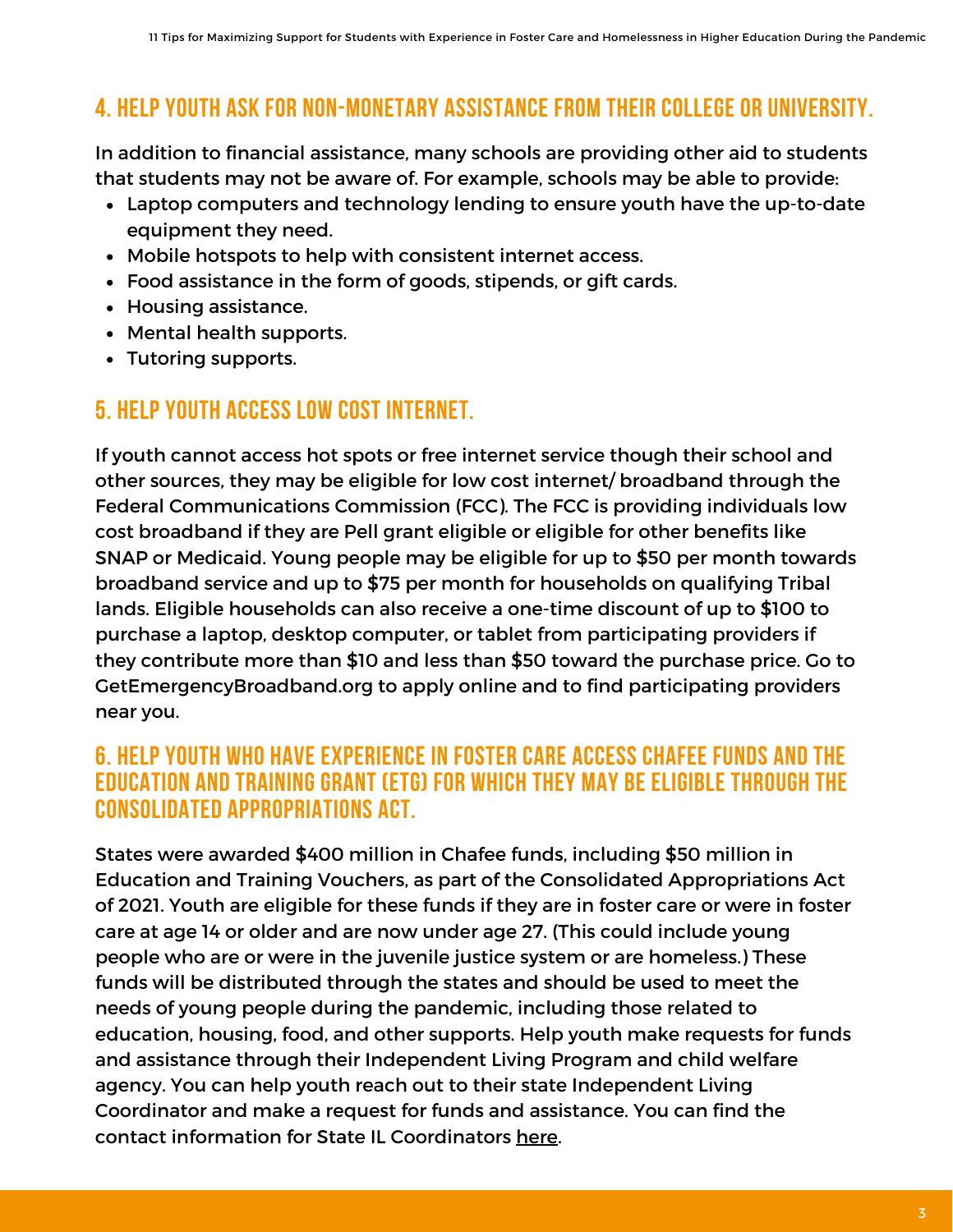# **4. HELP YOUTH ASK FOR NON-MONETARY ASSISTANCE FROM THEIR COLLEGE OR UNIVERSITY.**

In addition to financial assistance, many schools are providing other aid to students that students may not be aware of. For example, schools may be able to provide:

- Laptop computers and technology lending to ensure youth have the up-to-date equipment they need.
- Mobile hotspots to help with consistent internet access.
- Food assistance in the form of goods, stipends, or gift cards.
- Housing assistance.
- Mental health supports.
- Tutoring supports.

## **5. HELP YOUTH ACCESS LOW COST INTERNET.**

If youth cannot access hot spots or free internet service though their school and other sources, they may be eligible for low cost internet/ broadband through the Federal Communications Commission (FCC). The FCC is providing individuals low cost broadband if they are Pell grant eligible or eligible for other benefits like SNAP or Medicaid. Young people may be eligible for up to \$50 per month towards broadband service and up to \$75 per month for households on qualifying Tribal lands. Eligible households can also receive a one-time discount of up to \$100 to purchase a laptop, desktop computer, or tablet from participating providers if they contribute more than \$10 and less than \$50 toward the purchase price. Go to GetEmergencyBroadband.org to apply online and to find participating providers near you.

#### **6. HELP YOUTH WHO HAVE EXPERIENCE IN FOSTER CARE ACCESS CHAFEE FUNDS AND THE EDUCATION AND TRAINING GRANT (ETG) FOR WHICH THEY MAY BE ELIGIBLE THROUGH THE CONSOLIDATED APPROPRIATIONS ACT.**

States were awarded \$400 million in Chafee funds, including \$50 million in Education and Training Vouchers, as part of the Consolidated Appropriations Act of 2021. Youth are eligible for these funds if they are in foster care or were in foster care at age 14 or older and are now under age 27. (This could include young people who are or were in the juvenile justice system or are homeless.) These funds will be distributed through the states and should be used to meet the needs of young people during the pandemic, including those related to education, housing, food, and other supports. Help youth make requests for funds and assistance through their Independent Living Program and child welfare agency. You can help youth reach out to their state Independent Living Coordinator and make a request for funds and assistance. You can find the contact information for State IL Coordinators [here](https://www.childwelfare.gov/organizations/?CWIGFunctionsaction=rols:main.dspList&rolType=Custom&RS_ID=145#:~:text=Independent%20Living%20Coordinators%20in%20the,prior%20to%20exiting%20foster%20care.).